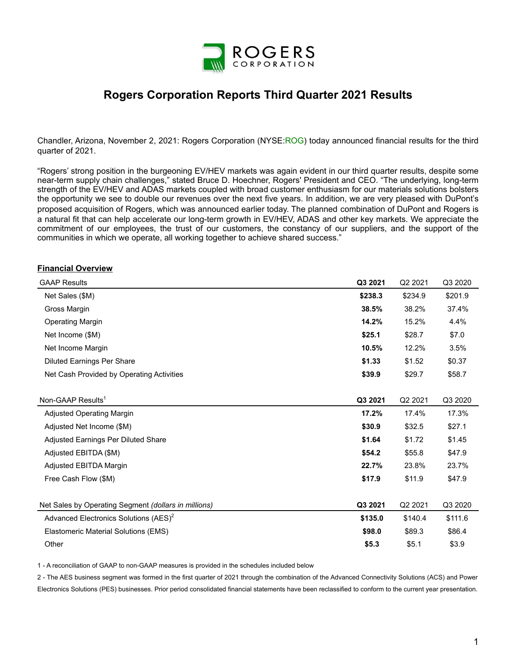

# **Rogers Corporation Reports Third Quarter 2021 Results**

Chandler, Arizona, November 2, 2021: Rogers Corporation (NYSE:ROG) today announced financial results for the third quarter of 2021.

"Rogers' strong position in the burgeoning EV/HEV markets was again evident in our third quarter results, despite some near-term supply chain challenges," stated Bruce D. Hoechner, Rogers' President and CEO. "The underlying, long-term strength of the EV/HEV and ADAS markets coupled with broad customer enthusiasm for our materials solutions bolsters the opportunity we see to double our revenues over the next five years. In addition, we are very pleased with DuPont's proposed acquisition of Rogers, which was announced earlier today. The planned combination of DuPont and Rogers is a natural fit that can help accelerate our long-term growth in EV/HEV, ADAS and other key markets. We appreciate the commitment of our employees, the trust of our customers, the constancy of our suppliers, and the support of the communities in which we operate, all working together to achieve shared success."

#### **Financial Overview**

| <b>GAAP Results</b>                                  | Q3 2021 | Q <sub>2</sub> 2021 | Q3 2020 |
|------------------------------------------------------|---------|---------------------|---------|
| Net Sales (\$M)                                      | \$238.3 | \$234.9             | \$201.9 |
| Gross Margin                                         | 38.5%   | 38.2%               | 37.4%   |
| <b>Operating Margin</b>                              | 14.2%   | 15.2%               | 4.4%    |
| Net Income (\$M)                                     | \$25.1  | \$28.7              | \$7.0   |
| Net Income Margin                                    | 10.5%   | 12.2%               | 3.5%    |
| <b>Diluted Earnings Per Share</b>                    | \$1.33  | \$1.52              | \$0.37  |
| Net Cash Provided by Operating Activities            | \$39.9  | \$29.7              | \$58.7  |
|                                                      |         |                     |         |
| Non-GAAP Results <sup>1</sup>                        | Q3 2021 | Q <sub>2</sub> 2021 | Q3 2020 |
| <b>Adjusted Operating Margin</b>                     | 17.2%   | 17.4%               | 17.3%   |
| Adjusted Net Income (\$M)                            | \$30.9  | \$32.5              | \$27.1  |
| Adjusted Earnings Per Diluted Share                  | \$1.64  | \$1.72              | \$1.45  |
| Adjusted EBITDA (\$M)                                | \$54.2  | \$55.8              | \$47.9  |
| Adjusted EBITDA Margin                               | 22.7%   | 23.8%               | 23.7%   |
| Free Cash Flow (\$M)                                 | \$17.9  | \$11.9              | \$47.9  |
| Net Sales by Operating Segment (dollars in millions) | Q3 2021 | Q2 2021             | Q3 2020 |
| Advanced Electronics Solutions (AES) <sup>2</sup>    | \$135.0 | \$140.4             | \$111.6 |
| Elastomeric Material Solutions (EMS)                 | \$98.0  | \$89.3              | \$86.4  |
| Other                                                | \$5.3   | \$5.1               | \$3.9   |

1 - A reconciliation of GAAP to non-GAAP measures is provided in the schedules included below

2 - The AES business segment was formed in the first quarter of 2021 through the combination of the Advanced Connectivity Solutions (ACS) and Power Electronics Solutions (PES) businesses. Prior period consolidated financial statements have been reclassified to conform to the current year presentation.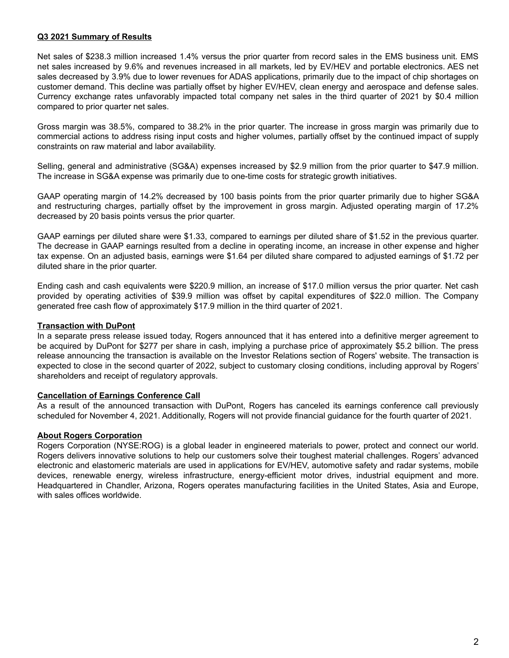### **Q3 2021 Summary of Results**

Net sales of \$238.3 million increased 1.4% versus the prior quarter from record sales in the EMS business unit. EMS net sales increased by 9.6% and revenues increased in all markets, led by EV/HEV and portable electronics. AES net sales decreased by 3.9% due to lower revenues for ADAS applications, primarily due to the impact of chip shortages on customer demand. This decline was partially offset by higher EV/HEV, clean energy and aerospace and defense sales. Currency exchange rates unfavorably impacted total company net sales in the third quarter of 2021 by \$0.4 million compared to prior quarter net sales.

Gross margin was 38.5%, compared to 38.2% in the prior quarter. The increase in gross margin was primarily due to commercial actions to address rising input costs and higher volumes, partially offset by the continued impact of supply constraints on raw material and labor availability.

Selling, general and administrative (SG&A) expenses increased by \$2.9 million from the prior quarter to \$47.9 million. The increase in SG&A expense was primarily due to one-time costs for strategic growth initiatives.

GAAP operating margin of 14.2% decreased by 100 basis points from the prior quarter primarily due to higher SG&A and restructuring charges, partially offset by the improvement in gross margin. Adjusted operating margin of 17.2% decreased by 20 basis points versus the prior quarter.

GAAP earnings per diluted share were \$1.33, compared to earnings per diluted share of \$1.52 in the previous quarter. The decrease in GAAP earnings resulted from a decline in operating income, an increase in other expense and higher tax expense. On an adjusted basis, earnings were \$1.64 per diluted share compared to adjusted earnings of \$1.72 per diluted share in the prior quarter.

Ending cash and cash equivalents were \$220.9 million, an increase of \$17.0 million versus the prior quarter. Net cash provided by operating activities of \$39.9 million was offset by capital expenditures of \$22.0 million. The Company generated free cash flow of approximately \$17.9 million in the third quarter of 2021.

### **Transaction with DuPont**

In a separate press release issued today, Rogers announced that it has entered into a definitive merger agreement to be acquired by DuPont for \$277 per share in cash, implying a purchase price of approximately \$5.2 billion. The press release announcing the transaction is available on the Investor Relations section of Rogers' website. The transaction is expected to close in the second quarter of 2022, subject to customary closing conditions, including approval by Rogers' shareholders and receipt of regulatory approvals.

### **Cancellation of Earnings Conference Call**

As a result of the announced transaction with DuPont, Rogers has canceled its earnings conference call previously scheduled for November 4, 2021. Additionally, Rogers will not provide financial guidance for the fourth quarter of 2021.

### **About Rogers Corporation**

Rogers Corporation (NYSE:ROG) is a global leader in engineered materials to power, protect and connect our world. Rogers delivers innovative solutions to help our customers solve their toughest material challenges. Rogers' advanced electronic and elastomeric materials are used in applications for EV/HEV, automotive safety and radar systems, mobile devices, renewable energy, wireless infrastructure, energy-efficient motor drives, industrial equipment and more. Headquartered in Chandler, Arizona, Rogers operates manufacturing facilities in the United States, Asia and Europe, with sales offices worldwide.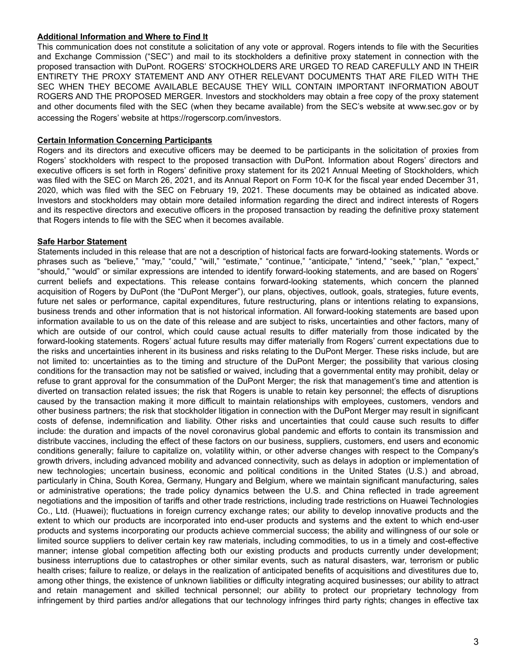### **Additional Information and Where to Find It**

This communication does not constitute a solicitation of any vote or approval. Rogers intends to file with the Securities and Exchange Commission ("SEC") and mail to its stockholders a definitive proxy statement in connection with the proposed transaction with DuPont. ROGERS' STOCKHOLDERS ARE URGED TO READ CAREFULLY AND IN THEIR ENTIRETY THE PROXY STATEMENT AND ANY OTHER RELEVANT DOCUMENTS THAT ARE FILED WITH THE SEC WHEN THEY BECOME AVAILABLE BECAUSE THEY WILL CONTAIN IMPORTANT INFORMATION ABOUT ROGERS AND THE PROPOSED MERGER. Investors and stockholders may obtain a free copy of the proxy statement and other documents filed with the SEC (when they became available) from the SEC's website at www.sec.gov or by accessing the Rogers' website at https://rogerscorp.com/investors.

### **Certain Information Concerning Participants**

Rogers and its directors and executive officers may be deemed to be participants in the solicitation of proxies from Rogers' stockholders with respect to the proposed transaction with DuPont. Information about Rogers' directors and executive officers is set forth in Rogers' definitive proxy statement for its 2021 Annual Meeting of Stockholders, which was filed with the SEC on March 26, 2021, and its Annual Report on Form 10-K for the fiscal year ended December 31, 2020, which was filed with the SEC on February 19, 2021. These documents may be obtained as indicated above. Investors and stockholders may obtain more detailed information regarding the direct and indirect interests of Rogers and its respective directors and executive officers in the proposed transaction by reading the definitive proxy statement that Rogers intends to file with the SEC when it becomes available.

### **Safe Harbor Statement**

Statements included in this release that are not a description of historical facts are forward-looking statements. Words or phrases such as "believe," "may," "could," "will," "estimate," "continue," "anticipate," "intend," "seek," "plan," "expect," "should," "would" or similar expressions are intended to identify forward-looking statements, and are based on Rogers' current beliefs and expectations. This release contains forward-looking statements, which concern the planned acquisition of Rogers by DuPont (the "DuPont Merger"), our plans, objectives, outlook, goals, strategies, future events, future net sales or performance, capital expenditures, future restructuring, plans or intentions relating to expansions, business trends and other information that is not historical information. All forward-looking statements are based upon information available to us on the date of this release and are subject to risks, uncertainties and other factors, many of which are outside of our control, which could cause actual results to differ materially from those indicated by the forward-looking statements. Rogers' actual future results may differ materially from Rogers' current expectations due to the risks and uncertainties inherent in its business and risks relating to the DuPont Merger. These risks include, but are not limited to: uncertainties as to the timing and structure of the DuPont Merger; the possibility that various closing conditions for the transaction may not be satisfied or waived, including that a governmental entity may prohibit, delay or refuse to grant approval for the consummation of the DuPont Merger; the risk that management's time and attention is diverted on transaction related issues; the risk that Rogers is unable to retain key personnel; the effects of disruptions caused by the transaction making it more difficult to maintain relationships with employees, customers, vendors and other business partners; the risk that stockholder litigation in connection with the DuPont Merger may result in significant costs of defense, indemnification and liability. Other risks and uncertainties that could cause such results to differ include: the duration and impacts of the novel coronavirus global pandemic and efforts to contain its transmission and distribute vaccines, including the effect of these factors on our business, suppliers, customers, end users and economic conditions generally; failure to capitalize on, volatility within, or other adverse changes with respect to the Company's growth drivers, including advanced mobility and advanced connectivity, such as delays in adoption or implementation of new technologies; uncertain business, economic and political conditions in the United States (U.S.) and abroad, particularly in China, South Korea, Germany, Hungary and Belgium, where we maintain significant manufacturing, sales or administrative operations; the trade policy dynamics between the U.S. and China reflected in trade agreement negotiations and the imposition of tariffs and other trade restrictions, including trade restrictions on Huawei Technologies Co., Ltd. (Huawei); fluctuations in foreign currency exchange rates; our ability to develop innovative products and the extent to which our products are incorporated into end-user products and systems and the extent to which end-user products and systems incorporating our products achieve commercial success; the ability and willingness of our sole or limited source suppliers to deliver certain key raw materials, including commodities, to us in a timely and cost-effective manner; intense global competition affecting both our existing products and products currently under development; business interruptions due to catastrophes or other similar events, such as natural disasters, war, terrorism or public health crises; failure to realize, or delays in the realization of anticipated benefits of acquisitions and divestitures due to, among other things, the existence of unknown liabilities or difficulty integrating acquired businesses; our ability to attract and retain management and skilled technical personnel; our ability to protect our proprietary technology from infringement by third parties and/or allegations that our technology infringes third party rights; changes in effective tax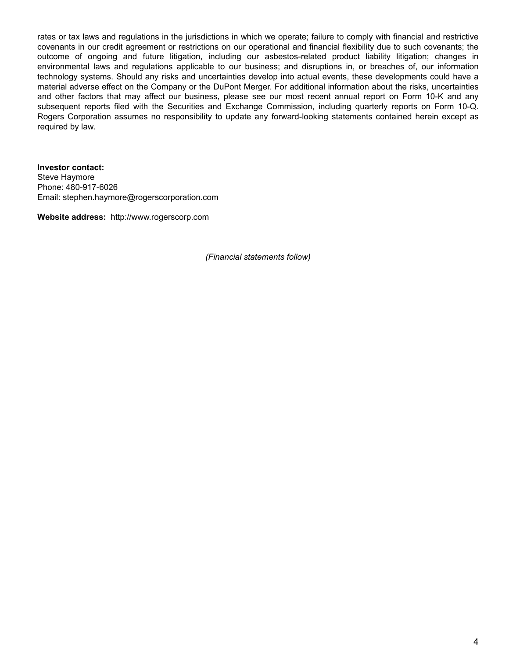rates or tax laws and regulations in the jurisdictions in which we operate; failure to comply with financial and restrictive covenants in our credit agreement or restrictions on our operational and financial flexibility due to such covenants; the outcome of ongoing and future litigation, including our asbestos-related product liability litigation; changes in environmental laws and regulations applicable to our business; and disruptions in, or breaches of, our information technology systems. Should any risks and uncertainties develop into actual events, these developments could have a material adverse effect on the Company or the DuPont Merger. For additional information about the risks, uncertainties and other factors that may affect our business, please see our most recent annual report on Form 10-K and any subsequent reports filed with the Securities and Exchange Commission, including quarterly reports on Form 10-Q. Rogers Corporation assumes no responsibility to update any forward-looking statements contained herein except as required by law.

**Investor contact:**  Steve Haymore Phone: 480-917-6026 Email: stephen.haymore@rogerscorporation.com

**Website address:** http://www.rogerscorp.com

*(Financial statements follow)*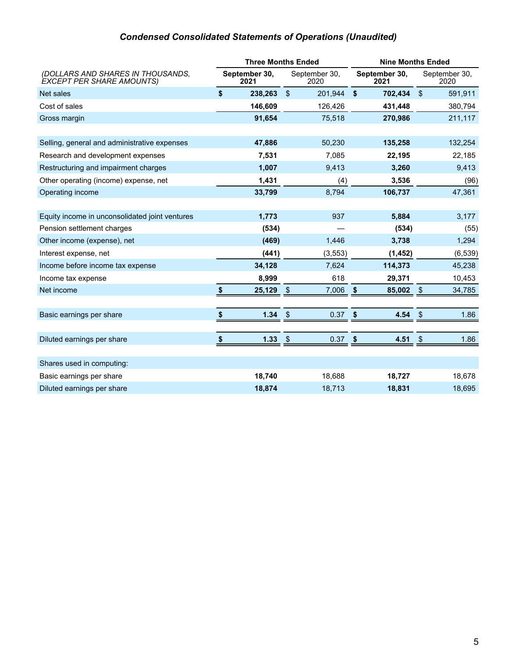# *Condensed Consolidated Statements of Operations (Unaudited)*

|                                                                       | <b>Three Months Ended</b> |               |                       | <b>Nine Months Ended</b> |                       |            |                       |
|-----------------------------------------------------------------------|---------------------------|---------------|-----------------------|--------------------------|-----------------------|------------|-----------------------|
| (DOLLARS AND SHARES IN THOUSANDS,<br><b>EXCEPT PER SHARE AMOUNTS)</b> | September 30,<br>2021     |               | September 30,<br>2020 |                          | September 30,<br>2021 |            | September 30,<br>2020 |
| Net sales                                                             | \$<br>238,263             | $\sqrt{2}$    | 201,944               | \$                       | 702,434 \$            |            | 591,911               |
| Cost of sales                                                         | 146,609                   |               | 126,426               |                          | 431,448               |            | 380,794               |
| Gross margin                                                          | 91,654                    |               | 75,518                |                          | 270,986               |            | 211,117               |
|                                                                       |                           |               |                       |                          |                       |            |                       |
| Selling, general and administrative expenses                          | 47,886                    |               | 50,230                |                          | 135,258               |            | 132,254               |
| Research and development expenses                                     | 7,531                     |               | 7,085                 |                          | 22,195                |            | 22,185                |
| Restructuring and impairment charges                                  | 1,007                     |               | 9,413                 |                          | 3,260                 |            | 9,413                 |
| Other operating (income) expense, net                                 | 1,431                     |               | (4)                   |                          | 3,536                 |            | (96)                  |
| Operating income                                                      | 33,799                    |               | 8,794                 |                          | 106,737               |            | 47,361                |
|                                                                       |                           |               |                       |                          |                       |            |                       |
| Equity income in unconsolidated joint ventures                        | 1,773                     |               | 937                   |                          | 5,884                 |            | 3,177                 |
| Pension settlement charges                                            | (534)                     |               |                       |                          | (534)                 |            | (55)                  |
| Other income (expense), net                                           | (469)                     |               | 1,446                 |                          | 3,738                 |            | 1,294                 |
| Interest expense, net                                                 | (441)                     |               | (3, 553)              |                          | (1, 452)              |            | (6, 539)              |
| Income before income tax expense                                      | 34,128                    |               | 7,624                 |                          | 114,373               |            | 45,238                |
| Income tax expense                                                    | 8,999                     |               | 618                   |                          | 29,371                |            | 10,453                |
| Net income                                                            | \$<br>25,129              | $\sqrt{3}$    | 7,006                 | \$                       | 85,002                | $\sqrt{3}$ | 34,785                |
|                                                                       |                           |               |                       |                          |                       |            |                       |
| Basic earnings per share                                              | 1.34                      | $\sqrt[6]{3}$ | 0.37                  | \$                       | 4.54                  | \$         | 1.86                  |
|                                                                       |                           |               |                       |                          |                       |            |                       |
| Diluted earnings per share                                            | \$<br>1.33                | $\sqrt{3}$    | 0.37                  | \$                       | 4.51                  | \$         | 1.86                  |
|                                                                       |                           |               |                       |                          |                       |            |                       |
| Shares used in computing:                                             |                           |               |                       |                          |                       |            |                       |
| Basic earnings per share                                              | 18,740                    |               | 18,688                |                          | 18,727                |            | 18,678                |
| Diluted earnings per share                                            | 18,874                    |               | 18,713                |                          | 18,831                |            | 18,695                |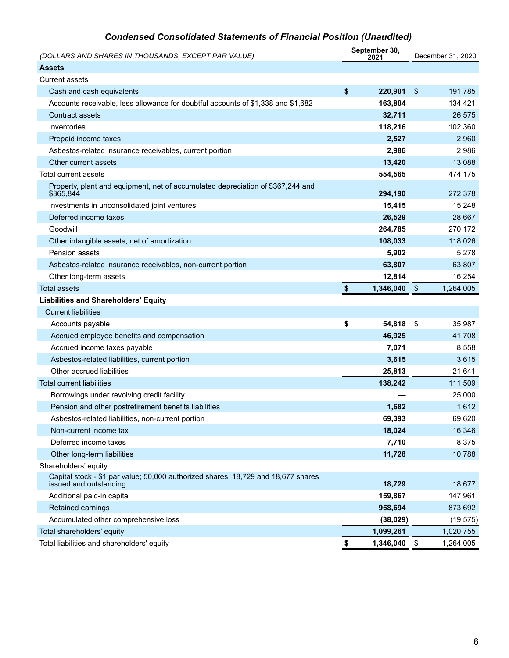# *Condensed Consolidated Statements of Financial Position (Unaudited)*

| (DOLLARS AND SHARES IN THOUSANDS, EXCEPT PAR VALUE)                                                         | September 30,<br>2021 |           |               | December 31, 2020 |  |
|-------------------------------------------------------------------------------------------------------------|-----------------------|-----------|---------------|-------------------|--|
| <b>Assets</b>                                                                                               |                       |           |               |                   |  |
| <b>Current assets</b>                                                                                       |                       |           |               |                   |  |
| Cash and cash equivalents                                                                                   | \$                    | 220,901   | $\frac{3}{2}$ | 191,785           |  |
| Accounts receivable, less allowance for doubtful accounts of \$1,338 and \$1,682                            |                       | 163,804   |               | 134,421           |  |
| Contract assets                                                                                             |                       | 32,711    |               | 26,575            |  |
| Inventories                                                                                                 |                       | 118,216   |               | 102,360           |  |
| Prepaid income taxes                                                                                        |                       | 2,527     |               | 2,960             |  |
| Asbestos-related insurance receivables, current portion                                                     |                       | 2,986     |               | 2,986             |  |
| Other current assets                                                                                        |                       | 13,420    |               | 13,088            |  |
| Total current assets                                                                                        |                       | 554,565   |               | 474,175           |  |
| Property, plant and equipment, net of accumulated depreciation of \$367,244 and<br>\$365,844                |                       | 294,190   |               | 272,378           |  |
| Investments in unconsolidated joint ventures                                                                |                       | 15,415    |               | 15,248            |  |
| Deferred income taxes                                                                                       |                       | 26,529    |               | 28,667            |  |
| Goodwill                                                                                                    |                       | 264,785   |               | 270,172           |  |
| Other intangible assets, net of amortization                                                                |                       | 108,033   |               | 118,026           |  |
| Pension assets                                                                                              |                       | 5,902     |               | 5,278             |  |
| Asbestos-related insurance receivables, non-current portion                                                 |                       | 63,807    |               | 63,807            |  |
| Other long-term assets                                                                                      |                       | 12,814    |               | 16,254            |  |
| <b>Total assets</b>                                                                                         | \$                    | 1,346,040 | $\frac{1}{2}$ | 1,264,005         |  |
| <b>Liabilities and Shareholders' Equity</b>                                                                 |                       |           |               |                   |  |
| <b>Current liabilities</b>                                                                                  |                       |           |               |                   |  |
| Accounts payable                                                                                            | \$                    | 54,818    | -\$           | 35,987            |  |
| Accrued employee benefits and compensation                                                                  |                       | 46,925    |               | 41,708            |  |
| Accrued income taxes payable                                                                                |                       | 7,071     |               | 8,558             |  |
| Asbestos-related liabilities, current portion                                                               |                       | 3,615     |               | 3,615             |  |
| Other accrued liabilities                                                                                   |                       | 25,813    |               | 21,641            |  |
| <b>Total current liabilities</b>                                                                            |                       | 138,242   |               | 111,509           |  |
| Borrowings under revolving credit facility                                                                  |                       |           |               | 25,000            |  |
| Pension and other postretirement benefits liabilities                                                       |                       | 1,682     |               | 1,612             |  |
| Asbestos-related liabilities, non-current portion                                                           |                       | 69,393    |               | 69,620            |  |
| Non-current income tax                                                                                      |                       | 18,024    |               | 16,346            |  |
| Deferred income taxes                                                                                       |                       | 7,710     |               | 8,375             |  |
| Other long-term liabilities                                                                                 |                       | 11,728    |               | 10,788            |  |
| Shareholders' equity                                                                                        |                       |           |               |                   |  |
| Capital stock - \$1 par value; 50,000 authorized shares; 18,729 and 18,677 shares<br>issued and outstanding |                       | 18,729    |               | 18,677            |  |
| Additional paid-in capital                                                                                  |                       | 159,867   |               | 147,961           |  |
| Retained earnings                                                                                           |                       | 958,694   |               | 873,692           |  |
| Accumulated other comprehensive loss                                                                        |                       | (38, 029) |               | (19, 575)         |  |
| Total shareholders' equity                                                                                  |                       | 1,099,261 |               | 1,020,755         |  |
| Total liabilities and shareholders' equity                                                                  | \$                    | 1,346,040 | $\,$          | 1,264,005         |  |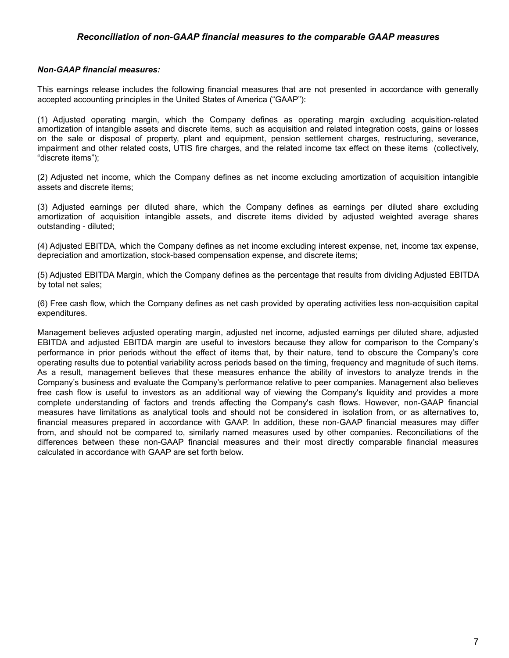### *Reconciliation of non-GAAP financial measures to the comparable GAAP measures*

### *Non-GAAP financial measures:*

This earnings release includes the following financial measures that are not presented in accordance with generally accepted accounting principles in the United States of America ("GAAP"):

(1) Adjusted operating margin, which the Company defines as operating margin excluding acquisition-related amortization of intangible assets and discrete items, such as acquisition and related integration costs, gains or losses on the sale or disposal of property, plant and equipment, pension settlement charges, restructuring, severance, impairment and other related costs, UTIS fire charges, and the related income tax effect on these items (collectively, "discrete items");

(2) Adjusted net income, which the Company defines as net income excluding amortization of acquisition intangible assets and discrete items;

(3) Adjusted earnings per diluted share, which the Company defines as earnings per diluted share excluding amortization of acquisition intangible assets, and discrete items divided by adjusted weighted average shares outstanding - diluted;

(4) Adjusted EBITDA, which the Company defines as net income excluding interest expense, net, income tax expense, depreciation and amortization, stock-based compensation expense, and discrete items;

(5) Adjusted EBITDA Margin, which the Company defines as the percentage that results from dividing Adjusted EBITDA by total net sales;

(6) Free cash flow, which the Company defines as net cash provided by operating activities less non-acquisition capital expenditures.

Management believes adjusted operating margin, adjusted net income, adjusted earnings per diluted share, adjusted EBITDA and adjusted EBITDA margin are useful to investors because they allow for comparison to the Company's performance in prior periods without the effect of items that, by their nature, tend to obscure the Company's core operating results due to potential variability across periods based on the timing, frequency and magnitude of such items. As a result, management believes that these measures enhance the ability of investors to analyze trends in the Company's business and evaluate the Company's performance relative to peer companies. Management also believes free cash flow is useful to investors as an additional way of viewing the Company's liquidity and provides a more complete understanding of factors and trends affecting the Company's cash flows. However, non-GAAP financial measures have limitations as analytical tools and should not be considered in isolation from, or as alternatives to, financial measures prepared in accordance with GAAP. In addition, these non-GAAP financial measures may differ from, and should not be compared to, similarly named measures used by other companies. Reconciliations of the differences between these non-GAAP financial measures and their most directly comparable financial measures calculated in accordance with GAAP are set forth below.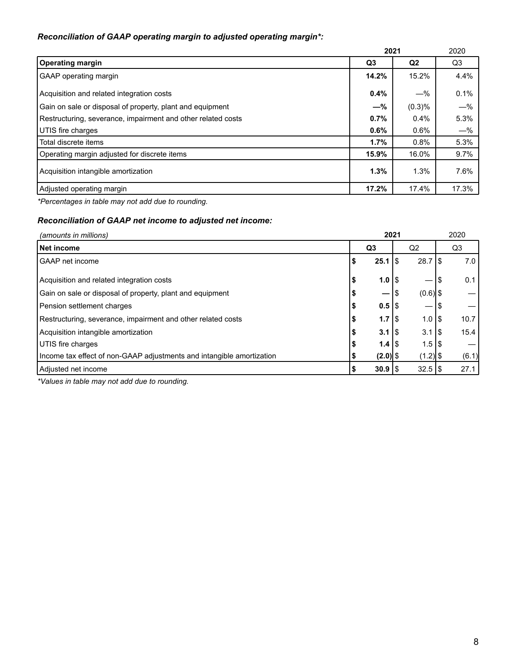## *Reconciliation of GAAP operating margin to adjusted operating margin\*:*

|                                                              | 2021    | 2020      |       |  |
|--------------------------------------------------------------|---------|-----------|-------|--|
| <b>Operating margin</b>                                      | Q3      | Q2        | Q3    |  |
| GAAP operating margin                                        | 14.2%   | 15.2%     | 4.4%  |  |
| Acquisition and related integration costs                    | $0.4\%$ | $-\%$     | 0.1%  |  |
| Gain on sale or disposal of property, plant and equipment    | $-\%$   | $(0.3)\%$ | $-\%$ |  |
| Restructuring, severance, impairment and other related costs | 0.7%    | $0.4\%$   | 5.3%  |  |
| UTIS fire charges                                            | $0.6\%$ | $0.6\%$   | $-\%$ |  |
| Total discrete items                                         | 1.7%    | 0.8%      | 5.3%  |  |
| Operating margin adjusted for discrete items                 | 15.9%   | 16.0%     | 9.7%  |  |
| Acquisition intangible amortization                          | 1.3%    | 1.3%      | 7.6%  |  |
| Adjusted operating margin                                    | 17.2%   | 17.4%     | 17.3% |  |

*\*Percentages in table may not add due to rounding.*

# *Reconciliation of GAAP net income to adjusted net income:*

| (amounts in millions)                                                 | 2021           |                     |                      | 2020      |       |  |
|-----------------------------------------------------------------------|----------------|---------------------|----------------------|-----------|-------|--|
| Net income                                                            | Q <sub>3</sub> |                     | Q <sub>2</sub>       |           | Q3    |  |
| GAAP net income                                                       |                | 25.1                | $28.7$ S<br>15       |           | 7.0   |  |
| Acquisition and related integration costs                             | D              | $1.0$   \$          |                      | S         | 0.1   |  |
| Gain on sale or disposal of property, plant and equipment             |                | —                   | $(0.6)$ \$<br>∣\$    |           |       |  |
| Pension settlement charges                                            |                | $0.5$  \$           |                      |           |       |  |
| Restructuring, severance, impairment and other related costs          | Ð              | 1.7 $\frac{1}{3}$   | $1.0$ S              |           | 10.7  |  |
| Acquisition intangible amortization                                   |                | $3.1$ $\frac{1}{3}$ | 3.1                  | <b>IS</b> | 15.4  |  |
| UTIS fire charges                                                     |                | $1.4$ S             | $1.5$ S              |           |       |  |
| Income tax effect of non-GAAP adjustments and intangible amortization |                | $(2.0)$ \$          | $(1.2)$ \$           |           | (6.1) |  |
| Adjusted net income                                                   |                | $30.9$   \$         | $32.5$ $\frac{1}{9}$ |           | 27.1  |  |

*\*Values in table may not add due to rounding.*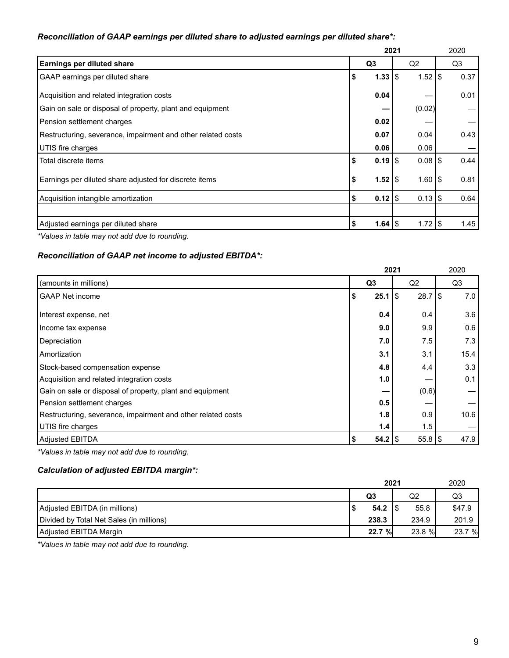### *Reconciliation of GAAP earnings per diluted share to adjusted earnings per diluted share\*:*

|                                                              | 2021 |                    | 2020                     |      |
|--------------------------------------------------------------|------|--------------------|--------------------------|------|
| Earnings per diluted share                                   |      | Q <sub>3</sub>     | Q2                       | Q3   |
| GAAP earnings per diluted share                              | S    | 1.33               | $1.52$ $\sqrt{S}$<br>1\$ | 0.37 |
| Acquisition and related integration costs                    |      | 0.04               |                          | 0.01 |
| Gain on sale or disposal of property, plant and equipment    |      |                    | (0.02)                   |      |
| Pension settlement charges                                   |      | 0.02               |                          |      |
| Restructuring, severance, impairment and other related costs |      | 0.07               | 0.04                     | 0.43 |
| UTIS fire charges                                            |      | 0.06               | 0.06                     |      |
| Total discrete items                                         |      | $0.19$ S           | $0.08$ S                 | 0.44 |
| Earnings per diluted share adjusted for discrete items       | \$   | $1.52$ $\sqrt{3}$  | $1.601$ \$               | 0.81 |
| Acquisition intangible amortization                          | \$   | $0.12$   \$        | $0.13$ \\$               | 0.64 |
|                                                              |      |                    |                          |      |
| Adjusted earnings per diluted share                          |      | 1.64 $\frac{1}{3}$ | 1.72 $\frac{1}{3}$       | 1.45 |

*\*Values in table may not add due to rounding.*

### *Reconciliation of GAAP net income to adjusted EBITDA\*:*

|                                                              |                      | 2021               | 2020 |
|--------------------------------------------------------------|----------------------|--------------------|------|
| (amounts in millions)                                        | Q <sub>3</sub>       | Q2                 | Q3   |
| <b>GAAP Net income</b>                                       | 25.1<br>\$           | $28.7$ \\$<br>ا \$ | 7.0  |
| Interest expense, net                                        | 0.4                  | 0.4                | 3.6  |
| Income tax expense                                           | 9.0                  | 9.9                | 0.6  |
| Depreciation                                                 | 7.0                  | 7.5                | 7.3  |
| Amortization                                                 | 3.1                  | 3.1                | 15.4 |
| Stock-based compensation expense                             | 4.8                  | 4.4                | 3.3  |
| Acquisition and related integration costs                    | 1.0                  |                    | 0.1  |
| Gain on sale or disposal of property, plant and equipment    |                      | (0.6)              |      |
| Pension settlement charges                                   | 0.5                  |                    |      |
| Restructuring, severance, impairment and other related costs | 1.8                  | 0.9                | 10.6 |
| UTIS fire charges                                            | 1.4                  | 1.5                |      |
| Adjusted EBITDA                                              | $54.2$ $\frac{8}{3}$ | $55.8$ \\$         | 47.9 |

*\*Values in table may not add due to rounding.*

# *Calculation of adjusted EBITDA margin\*:*

|                                          | 2021           | 2020   |        |  |
|------------------------------------------|----------------|--------|--------|--|
|                                          | Q <sub>3</sub> | Q2     | Q3     |  |
| Adjusted EBITDA (in millions)            | $54.2$ S       | 55.8   | \$47.9 |  |
| Divided by Total Net Sales (in millions) | 238.3          | 234.9  | 201.9  |  |
| Adjusted EBITDA Margin                   | 22.7 %         | 23.8 % | 23.7 % |  |

*\*Values in table may not add due to rounding.*